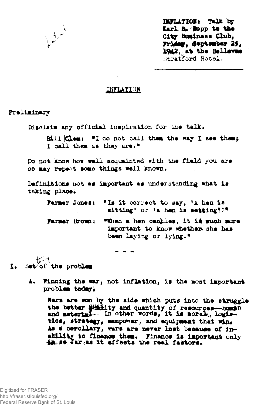

*INFLATION: Talk by Karl R. Bopp to the* City Business Club Friday, September 25 1942, at the Bellevue Stratford Hotel.

## *Inflation*

## Preliminary

Disclaim any official inspiration for the talk.

Bill Clem: "I do not call them the way I see them; **I oall them as they are. "**

Do **not know how well acquainted with the** field **you are so may repeat** some **things well** known.

Definitions not as important as understanding what is taking place.

Farmer Jones: "Is it correct to say, 'A hen is sitting' or 'a hen is setting!?"

Farmer Brown: "When a hen cackles, it is much more important to know whether she has been laying or lying."

 $I$ . Set of the problem

A. Winning the war, not inflation, is the most important problem today.

Wars are won by the side which puts into the struggle the better  $\frac{114}{110}$  and quantity of resources-human and material. In other words, it is moral, logistics, strategy, manpower, and equipment that win. As a corollary, wars are never lost because of inability to finance them. finance Is important only in so far as it effects the real factors.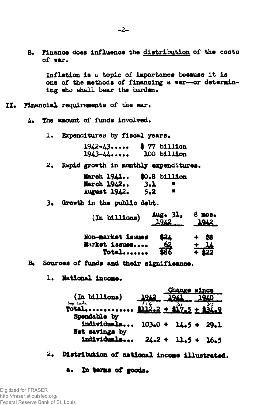Finance does influence the distribution of the costs  $R_{\bullet}$ of war. Inflation is a topic of importance because it is one of the methods of financing a war-or determining who shall bear the burden. II. Financial requirements of the war. The amount of funds involved.  $A 1.$ Expenditures by fiscal years.  $1942 - 43...$  $$77 billion$  $1943 - 44.$ 100 billion 2. Rapid growth in monthly expenditures. March 1941... \$0.8 billion March 1942..  $3.1$  $\bullet$ August 1942.  $5 - 2$ 3. Growth in the public debt. Aug. 31,  $8$  mos. (In billions) 1962 1942 \$24 Non-market issues 銘 Market issues.... Total....... Sources of funds and their significance.  $B<sub>o</sub>$ 1. National income. **Change since** (In billions) 194 Sep. eate  $\cdots$  \$112.2 + \$17.5 + Total... Spendable by individuals...  $103.0 + 14.5 + 29.1$ Net savings by

 $-2-$ 

Distribution of national income illustrated.  $2.$ 

 $24.2 + 11.5 + 16.5$ 

In terms of goods. **B.** 

individuals...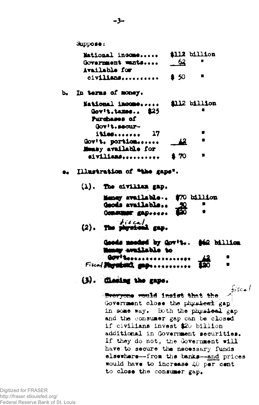Suppose: Mational income..... Government wants.... Available for civilians.......... b. In terms of money. Mational income..... Gov't, taxes..  $$25$ Purchases of Gov't.securities....... Gov!t. portion...... Mensy available for eivilians.......... Illustration of "the gaps".  $(1)$ . The civilian gap.

| Meney available \$70 billion             |  |
|------------------------------------------|--|
| Geods available<br>Consumer gapssess 620 |  |
| $(2)$ . The physical gap.                |  |

17

| Goods monded by Gov't \$62 billion |             |  |
|------------------------------------|-------------|--|
| Money available to                 |             |  |
| Govingssaukeerraseerr              |             |  |
| Fiscal Physical gage               | <b>Fo</b> o |  |

**All2 billion** 

all2 billion

- 62

 $$50$ 

42

170

## (3). Cleating the gaps.

fiscal Sporyone would insist that the Government close the physical gap in some way. Both the physical gap and the consumer gap can be closed if civilians invest \$20 billion additional in Government securities. If they do not, the Government will have to secure the necessary funds elsewhere--from the banks--and prices would have to increase 40 per cent to close the consumer gap.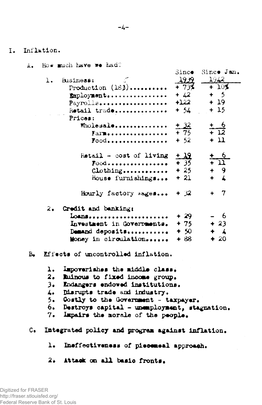$I_{\bullet}$ Inflation.

- <span id="page-3-0"></span>How much have we had? A. Sinco. Since Jan. -1939 - 1942 1. Business: Production  $(183)$ .........  $+73%$  $+105$  $+42$  $+ 5$ Employment................  $+122$  $+19$ Payrolls.................. Retail trade..............  $+ 54$  $+15$ Prices:  $\frac{+6}{+12}$  $\frac{+32}{+75}$ Wholesale.............. Farm.................  $+11$  $\Gamma$ 00d................  $+ 52$  $\frac{+6}{+11}$  $\frac{1}{4}$   $\frac{1}{3}$ Retail  $-$  cost of living  $\textbf{Food}$ ...............  $\begin{array}{cc} + & 9 \\ + & 4 \end{array}$  $+25$  $\text{Clothing...} \dots$  $+21$ House furnishings... Hourly factory  $\kappa$ ages... +  $\mathcal{R}$  $+ 7$ 2. Credit and banking: Loans.....................  $+29$ - 6  $+23$ Investment in Governments.  $+75$ Demand deposits...........  $+50$  $+$   $\angle$ Money in circulation......  $+88$  $+20$
- <span id="page-3-1"></span> $B_{\bullet}$ Effects of uncontrolled inflation.
	- ı. Impoverishes the middle class.
	- $2.$ Ruinous to fixed income group.
	- $3\bullet$ Endangers endowed institutions.
	- 4. Disrupts trade and industry.
	- 5. Costly to the Government - taxpayer.
	- Destroys capital unemployment, stagnation. 6.
	- $7.$ Impairs the morale of the people.
- $C_{\bullet}$ Integrated policy and program against inflation.
	- Ineffectiveness of piecemeal approach.  $\mathbf{L}$
	- $2.1$ Attack on all basic fronts.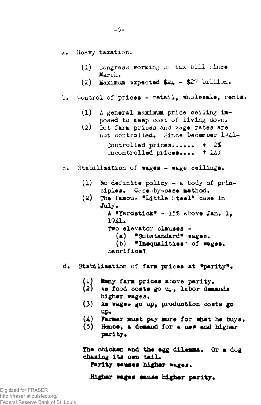Heavy taxation.  $\mathbf{a}$ .

 $\alpha$ .

 $(1)$ Congress working on tax bill since March. (2) Maximum expected  $24 - 27$  billion. Control of prices - retail, wholesale, rents.  $b_{\bullet}$  $(1)$  A general maximum price ceiling imposed to keep cost of living down.  $(2)$ But farm prices and wage rates are not controlled. Since December 1941-Controlled prices......  $+ 25$ Uncontrolled prices....  $+14\%$ Stabilisation of wages - wage ceilings.  $(1)$ No definite policy - a body of principles. Case-by-case method.  $(2)$ The famous "Little Steel" case in July. A "Yardstick" - 15% above Jan. 1. 1941. Two elevator clauses -(a) "Substandard" wages. (b) "Inequalities" of wages. Sacrifice?  $d_{\bullet}$ Stabilisation of farm prices at "parity". Many farm prices above parity. (1)  $\langle 2 \rangle$ As food costs go up, labor demands higher wages.  $(3)$ As wages go up, production costs go w.  $(4)$ Farmer must pay more for what he buys.  $(5)$ Hence, a demand for a new and higher parity. The chicken and the egg dilemma. Or a dog chasing its own tail.

Parity causes higher wages.

Higher wages cause higher parity.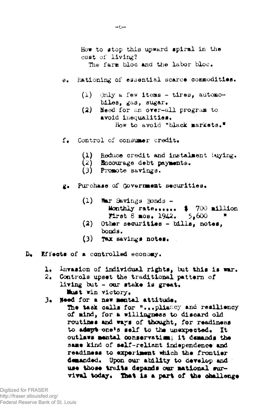How to atop this upward spiral in the coat of living? The farm bloc and the labor bloc. ©• Rationing of essential scarce commodities.  $(1)$  Only a few items - tires, automobiles, gas, sugar, (2) Heed for an over—all program to avoid inequalities. How to avoid "black markets." f. Control of consumer credit.

- (1) Reduce credit and instalment buying.<br>(2) Encourage debt navments.
- **Encourage debt payments.**
- (3) Promote savings.
- g. Purchase of Government securities,
	- $(1)$  War Savings Bonds -Monthly rate...... \$ 700 million **First 8 mos. 1942.**  $5.600$
	- (2) Other securities bills, notes, bonds.
	- $(3)$  Tax savings notes.
- $D_{\bullet}$  Effects of a controlled economy.
	- 1. Invasion of individual rights, but this is war.
	- 2, Controls upset the traditional pattern of living but  $-$  our stake is great. Must win victory.
	- 3. Need for a new mental attitude.

The task calls for "...pliancy and resiliency of mind, for a willingness to discard old routines and ways of thought, for readiness to adapt one's self to the unexpected. It **outlaws** mental conservatism, it demands the same kind of self-reliant independence and readiness to experiment which the frontier demanded. Upon our ability to develop and use those traits depands our national survival today. That is a part *of* the challenge